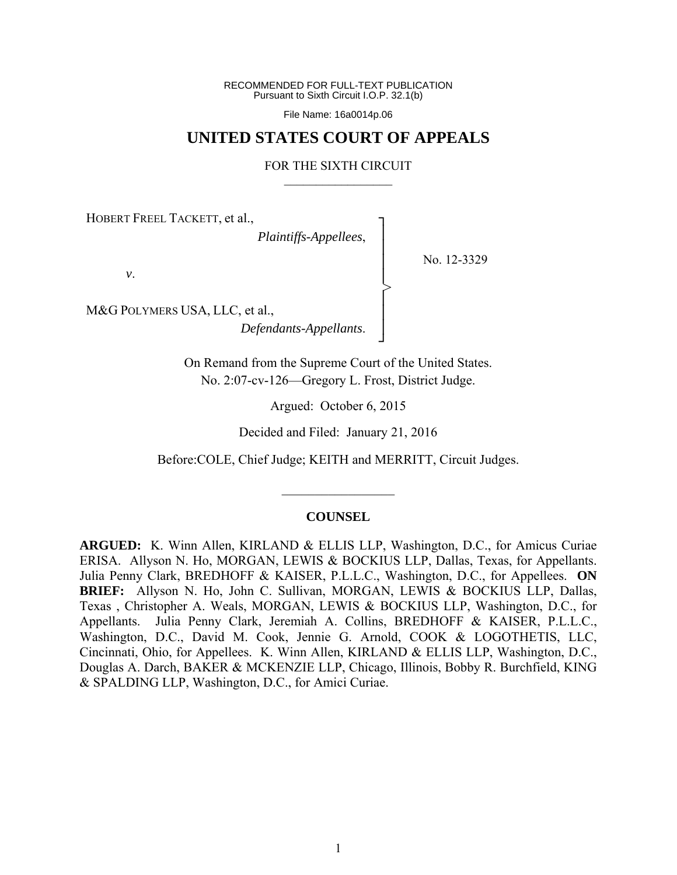RECOMMENDED FOR FULL-TEXT PUBLICATION Pursuant to Sixth Circuit I.O.P. 32.1(b)

File Name: 16a0014p.06

# **UNITED STATES COURT OF APPEALS**

### FOR THE SIXTH CIRCUIT  $\mathcal{L}_\text{max}$

┐ │ │ │ │ │ │ │ ┘

>

HOBERT FREEL TACKETT, et al.,

*Plaintiffs-Appellees*,

No. 12-3329

*v*.

M&G POLYMERS USA, LLC, et al., *Defendants-Appellants*.

> On Remand from the Supreme Court of the United States. No. 2:07-cv-126—Gregory L. Frost, District Judge.

> > Argued: October 6, 2015

Decided and Filed: January 21, 2016

Before:COLE, Chief Judge; KEITH and MERRITT, Circuit Judges.

## **COUNSEL**

 $\frac{1}{2}$ 

**ARGUED:** K. Winn Allen, KIRLAND & ELLIS LLP, Washington, D.C., for Amicus Curiae ERISA. Allyson N. Ho, MORGAN, LEWIS & BOCKIUS LLP, Dallas, Texas, for Appellants. Julia Penny Clark, BREDHOFF & KAISER, P.L.L.C., Washington, D.C., for Appellees. **ON BRIEF:** Allyson N. Ho, John C. Sullivan, MORGAN, LEWIS & BOCKIUS LLP, Dallas, Texas , Christopher A. Weals, MORGAN, LEWIS & BOCKIUS LLP, Washington, D.C., for Appellants. Julia Penny Clark, Jeremiah A. Collins, BREDHOFF & KAISER, P.L.L.C., Washington, D.C., David M. Cook, Jennie G. Arnold, COOK & LOGOTHETIS, LLC, Cincinnati, Ohio, for Appellees. K. Winn Allen, KIRLAND & ELLIS LLP, Washington, D.C., Douglas A. Darch, BAKER & MCKENZIE LLP, Chicago, Illinois, Bobby R. Burchfield, KING & SPALDING LLP, Washington, D.C., for Amici Curiae.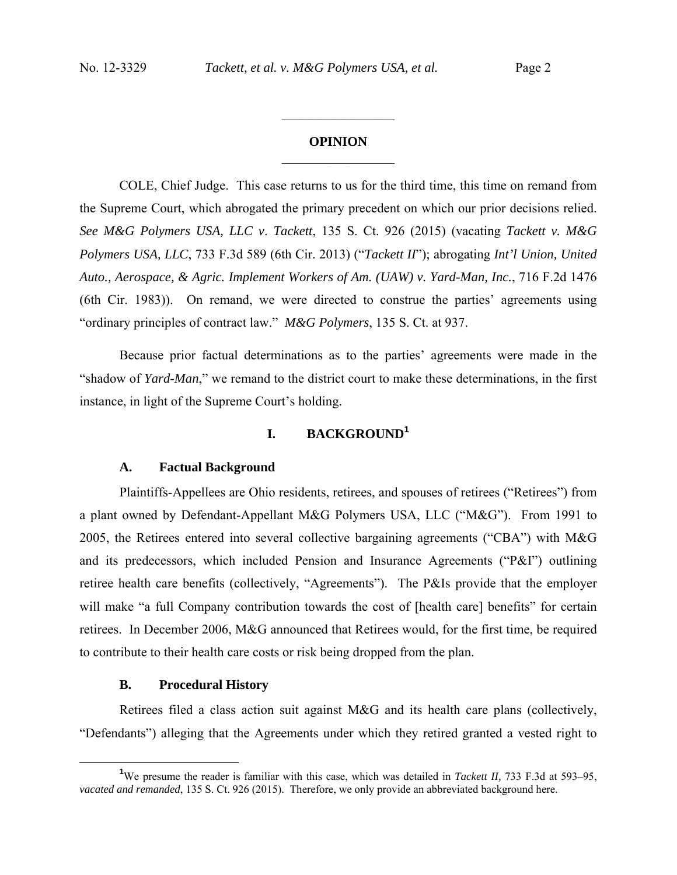# **OPINION**   $\frac{1}{2}$

 $\frac{1}{2}$ 

COLE, Chief Judge. This case returns to us for the third time, this time on remand from the Supreme Court, which abrogated the primary precedent on which our prior decisions relied. *See M&G Polymers USA, LLC v*. *Tackett*, 135 S. Ct. 926 (2015) (vacating *Tackett v. M&G Polymers USA, LLC*, 733 F.3d 589 (6th Cir. 2013) ("*Tackett II*"); abrogating *Int'l Union, United Auto., Aerospace, & Agric. Implement Workers of Am. (UAW) v. Yard-Man, Inc.*, 716 F.2d 1476 (6th Cir. 1983)). On remand, we were directed to construe the parties' agreements using "ordinary principles of contract law." *M&G Polymers*, 135 S. Ct. at 937.

Because prior factual determinations as to the parties' agreements were made in the "shadow of *Yard-Man*," we remand to the district court to make these determinations, in the first instance, in light of the Supreme Court's holding.

# **I. BACKGROUND<sup>1</sup>**

### **A. Factual Background**

Plaintiffs-Appellees are Ohio residents, retirees, and spouses of retirees ("Retirees") from a plant owned by Defendant-Appellant M&G Polymers USA, LLC ("M&G"). From 1991 to 2005, the Retirees entered into several collective bargaining agreements ("CBA") with M&G and its predecessors, which included Pension and Insurance Agreements ("P&I") outlining retiree health care benefits (collectively, "Agreements"). The P&Is provide that the employer will make "a full Company contribution towards the cost of [health care] benefits" for certain retirees. In December 2006, M&G announced that Retirees would, for the first time, be required to contribute to their health care costs or risk being dropped from the plan.

#### **B. Procedural History**

 $\overline{a}$ 

Retirees filed a class action suit against M&G and its health care plans (collectively, "Defendants") alleging that the Agreements under which they retired granted a vested right to

<sup>&</sup>lt;sup>1</sup>We presume the reader is familiar with this case, which was detailed in *Tackett II*, 733 F.3d at 593–95, *vacated and remanded*, 135 S. Ct. 926 (2015). Therefore, we only provide an abbreviated background here.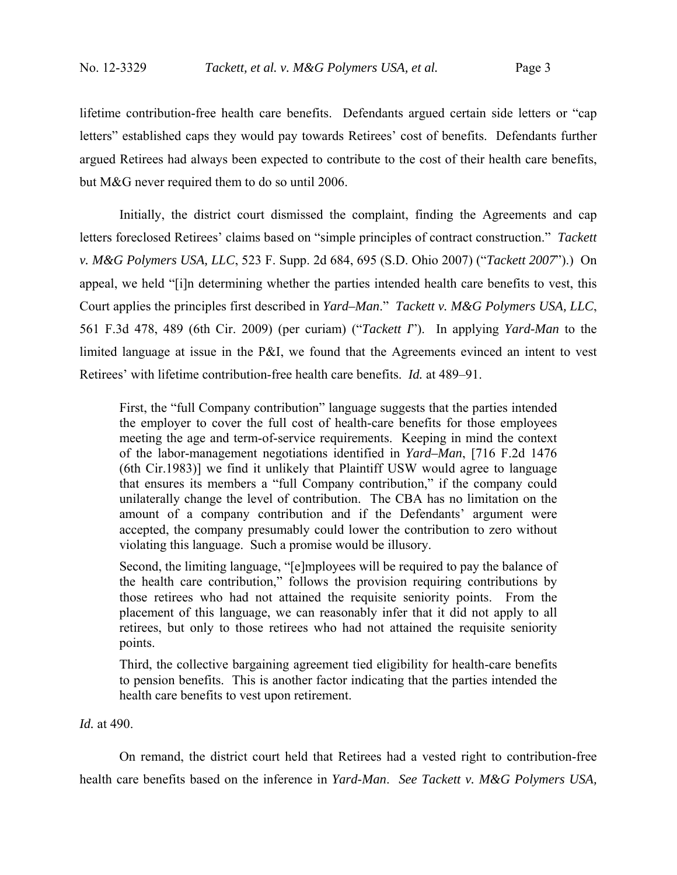lifetime contribution-free health care benefits. Defendants argued certain side letters or "cap letters" established caps they would pay towards Retirees' cost of benefits. Defendants further argued Retirees had always been expected to contribute to the cost of their health care benefits, but M&G never required them to do so until 2006.

Initially, the district court dismissed the complaint, finding the Agreements and cap letters foreclosed Retirees' claims based on "simple principles of contract construction." *Tackett v. M&G Polymers USA, LLC*, 523 F. Supp. 2d 684, 695 (S.D. Ohio 2007) ("*Tackett 2007*").) On appeal, we held "[i]n determining whether the parties intended health care benefits to vest, this Court applies the principles first described in *Yard–Man*." *Tackett v. M&G Polymers USA, LLC*, 561 F.3d 478, 489 (6th Cir. 2009) (per curiam) ("*Tackett I*"). In applying *Yard-Man* to the limited language at issue in the P&I, we found that the Agreements evinced an intent to vest Retirees' with lifetime contribution-free health care benefits. *Id.* at 489–91.

First, the "full Company contribution" language suggests that the parties intended the employer to cover the full cost of health-care benefits for those employees meeting the age and term-of-service requirements. Keeping in mind the context of the labor-management negotiations identified in *Yard–Man*, [716 F.2d 1476 (6th Cir.1983)] we find it unlikely that Plaintiff USW would agree to language that ensures its members a "full Company contribution," if the company could unilaterally change the level of contribution. The CBA has no limitation on the amount of a company contribution and if the Defendants' argument were accepted, the company presumably could lower the contribution to zero without violating this language. Such a promise would be illusory.

Second, the limiting language, "[e]mployees will be required to pay the balance of the health care contribution," follows the provision requiring contributions by those retirees who had not attained the requisite seniority points. From the placement of this language, we can reasonably infer that it did not apply to all retirees, but only to those retirees who had not attained the requisite seniority points.

Third, the collective bargaining agreement tied eligibility for health-care benefits to pension benefits. This is another factor indicating that the parties intended the health care benefits to vest upon retirement.

*Id.* at 490.

On remand, the district court held that Retirees had a vested right to contribution-free health care benefits based on the inference in *Yard-Man*. *See Tackett v. M&G Polymers USA,*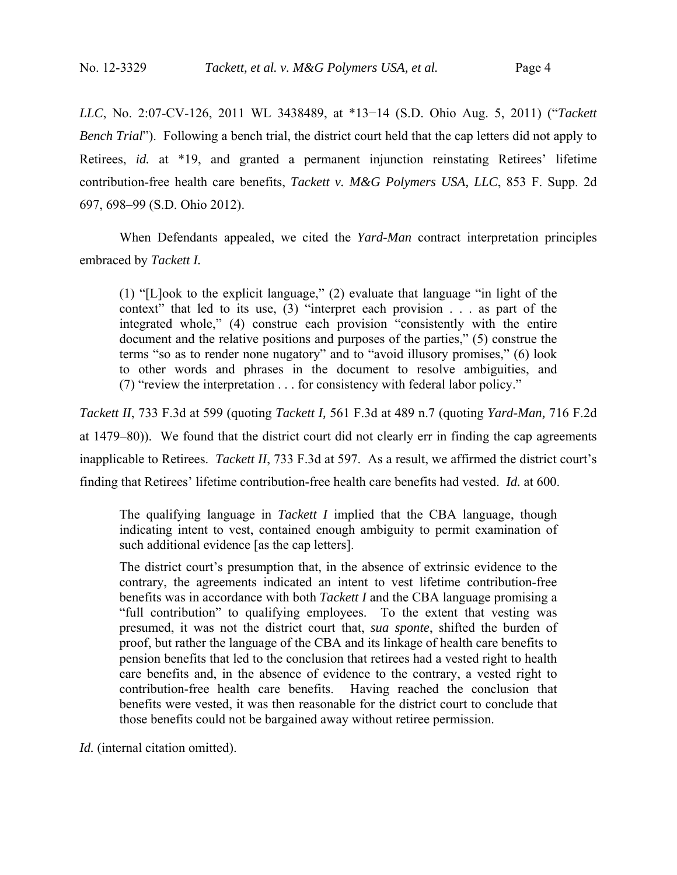*LLC*, No. 2:07-CV-126, 2011 WL 3438489, at \*13−14 (S.D. Ohio Aug. 5, 2011) ("*Tackett Bench Trial*"). Following a bench trial, the district court held that the cap letters did not apply to Retirees, *id.* at \*19, and granted a permanent injunction reinstating Retirees' lifetime contribution-free health care benefits, *Tackett v. M&G Polymers USA, LLC*, 853 F. Supp. 2d 697, 698–99 (S.D. Ohio 2012).

When Defendants appealed, we cited the *Yard-Man* contract interpretation principles embraced by *Tackett I.* 

(1) "[L]ook to the explicit language," (2) evaluate that language "in light of the context" that led to its use, (3) "interpret each provision . . . as part of the integrated whole," (4) construe each provision "consistently with the entire document and the relative positions and purposes of the parties," (5) construe the terms "so as to render none nugatory" and to "avoid illusory promises," (6) look to other words and phrases in the document to resolve ambiguities, and (7) "review the interpretation . . . for consistency with federal labor policy."

*Tackett II*, 733 F.3d at 599 (quoting *Tackett I,* 561 F.3d at 489 n.7 (quoting *Yard-Man,* 716 F.2d at 1479–80)). We found that the district court did not clearly err in finding the cap agreements inapplicable to Retirees. *Tackett II*, 733 F.3d at 597. As a result, we affirmed the district court's finding that Retirees' lifetime contribution-free health care benefits had vested. *Id.* at 600.

The qualifying language in *Tackett I* implied that the CBA language, though indicating intent to vest, contained enough ambiguity to permit examination of such additional evidence [as the cap letters].

The district court's presumption that, in the absence of extrinsic evidence to the contrary, the agreements indicated an intent to vest lifetime contribution-free benefits was in accordance with both *Tackett I* and the CBA language promising a "full contribution" to qualifying employees. To the extent that vesting was presumed, it was not the district court that, *sua sponte*, shifted the burden of proof, but rather the language of the CBA and its linkage of health care benefits to pension benefits that led to the conclusion that retirees had a vested right to health care benefits and, in the absence of evidence to the contrary, a vested right to contribution-free health care benefits. Having reached the conclusion that benefits were vested, it was then reasonable for the district court to conclude that those benefits could not be bargained away without retiree permission.

*Id.* (internal citation omitted).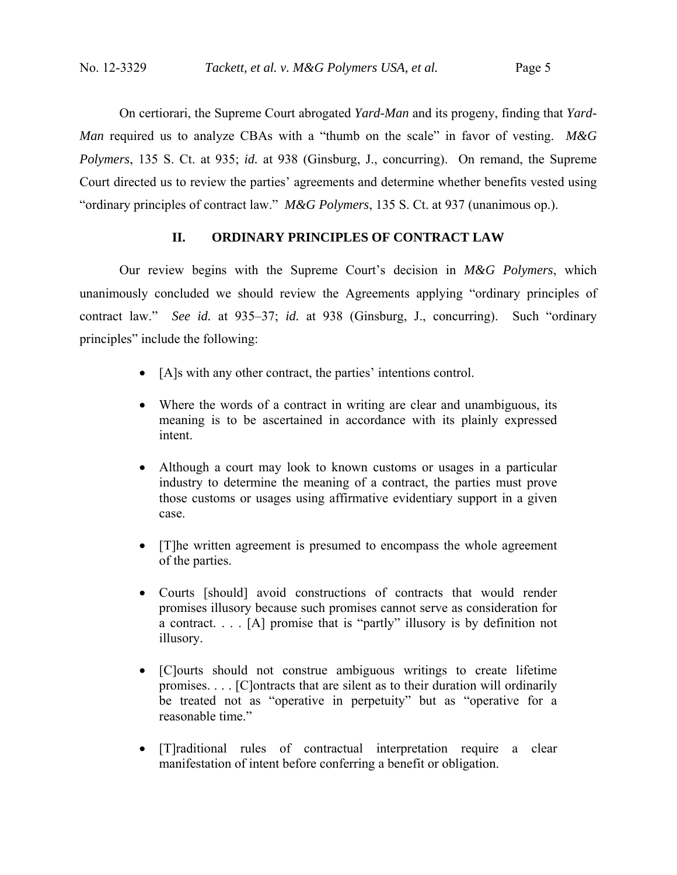On certiorari, the Supreme Court abrogated *Yard-Man* and its progeny, finding that *Yard-Man* required us to analyze CBAs with a "thumb on the scale" in favor of vesting. *M&G Polymers*, 135 S. Ct. at 935; *id.* at 938 (Ginsburg, J., concurring). On remand, the Supreme Court directed us to review the parties' agreements and determine whether benefits vested using "ordinary principles of contract law." *M&G Polymers*, 135 S. Ct. at 937 (unanimous op.).

# **II. ORDINARY PRINCIPLES OF CONTRACT LAW**

Our review begins with the Supreme Court's decision in *M&G Polymers*, which unanimously concluded we should review the Agreements applying "ordinary principles of contract law." *See id.* at 935–37; *id.* at 938 (Ginsburg, J., concurring). Such "ordinary principles" include the following:

- [A]s with any other contract, the parties' intentions control.
- Where the words of a contract in writing are clear and unambiguous, its meaning is to be ascertained in accordance with its plainly expressed intent.
- Although a court may look to known customs or usages in a particular industry to determine the meaning of a contract, the parties must prove those customs or usages using affirmative evidentiary support in a given case.
- [T]he written agreement is presumed to encompass the whole agreement of the parties.
- Courts [should] avoid constructions of contracts that would render promises illusory because such promises cannot serve as consideration for a contract. . . . [A] promise that is "partly" illusory is by definition not illusory.
- [C]ourts should not construe ambiguous writings to create lifetime promises. . . . [C]ontracts that are silent as to their duration will ordinarily be treated not as "operative in perpetuity" but as "operative for a reasonable time."
- [T]raditional rules of contractual interpretation require a clear manifestation of intent before conferring a benefit or obligation.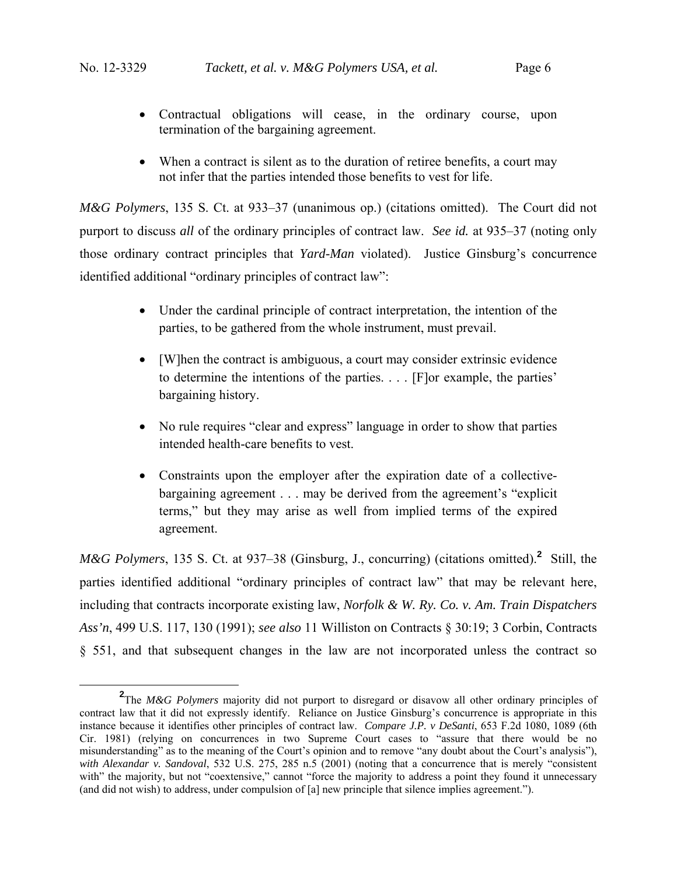- Contractual obligations will cease, in the ordinary course, upon termination of the bargaining agreement.
- When a contract is silent as to the duration of retiree benefits, a court may not infer that the parties intended those benefits to vest for life.

*M&G Polymers*, 135 S. Ct. at 933–37 (unanimous op.) (citations omitted). The Court did not purport to discuss *all* of the ordinary principles of contract law. *See id.* at 935–37 (noting only those ordinary contract principles that *Yard-Man* violated). Justice Ginsburg's concurrence identified additional "ordinary principles of contract law":

- Under the cardinal principle of contract interpretation, the intention of the parties, to be gathered from the whole instrument, must prevail.
- [W]hen the contract is ambiguous, a court may consider extrinsic evidence to determine the intentions of the parties. . . . [F]or example, the parties' bargaining history.
- No rule requires "clear and express" language in order to show that parties intended health-care benefits to vest.
- Constraints upon the employer after the expiration date of a collectivebargaining agreement . . . may be derived from the agreement's "explicit terms," but they may arise as well from implied terms of the expired agreement.

*M&G Polymers*, 135 S. Ct. at 937–38 (Ginsburg, J., concurring) (citations omitted).**<sup>2</sup>** Still, the parties identified additional "ordinary principles of contract law" that may be relevant here, including that contracts incorporate existing law, *Norfolk & W. Ry. Co. v. Am. Train Dispatchers Ass'n*, 499 U.S. 117, 130 (1991); *see also* 11 Williston on Contracts § 30:19; 3 Corbin, Contracts § 551, and that subsequent changes in the law are not incorporated unless the contract so

**<sup>2</sup>** <sup>2</sup>The *M&G Polymers* majority did not purport to disregard or disavow all other ordinary principles of contract law that it did not expressly identify. Reliance on Justice Ginsburg's concurrence is appropriate in this instance because it identifies other principles of contract law. *Compare J.P. v DeSanti*, 653 F.2d 1080, 1089 (6th Cir. 1981) (relying on concurrences in two Supreme Court cases to "assure that there would be no misunderstanding" as to the meaning of the Court's opinion and to remove "any doubt about the Court's analysis"), *with Alexandar v. Sandoval*, 532 U.S. 275, 285 n.5 (2001) (noting that a concurrence that is merely "consistent with" the majority, but not "coextensive," cannot "force the majority to address a point they found it unnecessary (and did not wish) to address, under compulsion of [a] new principle that silence implies agreement.").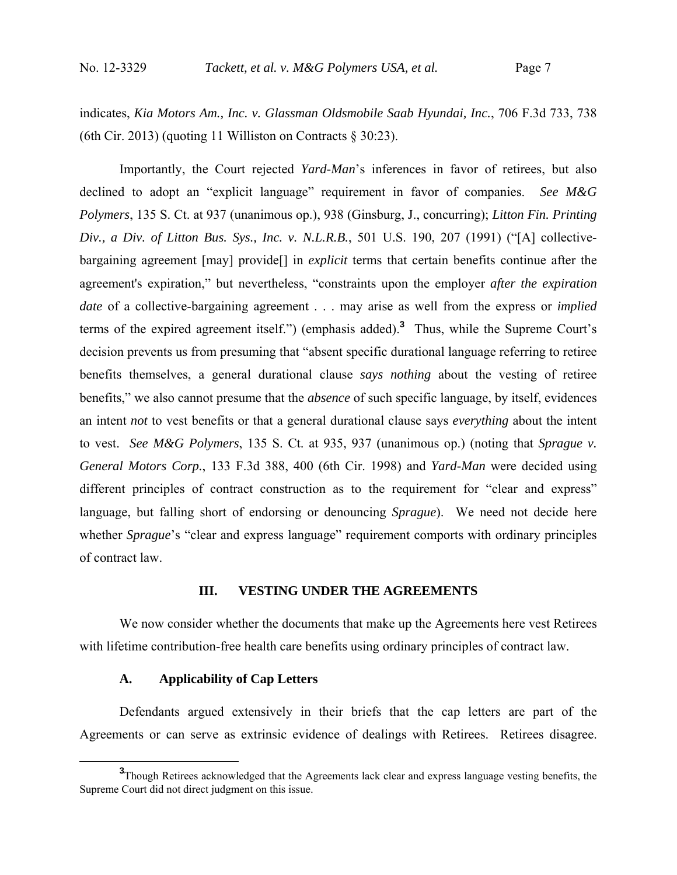indicates, *Kia Motors Am., Inc. v. Glassman Oldsmobile Saab Hyundai, Inc.*, 706 F.3d 733, 738 (6th Cir. 2013) (quoting 11 Williston on Contracts  $\S 30:23$ ).

Importantly, the Court rejected *Yard-Man*'s inferences in favor of retirees, but also declined to adopt an "explicit language" requirement in favor of companies. *See M&G Polymers*, 135 S. Ct. at 937 (unanimous op.), 938 (Ginsburg, J., concurring); *Litton Fin. Printing Div., a Div. of Litton Bus. Sys., Inc. v. N.L.R.B.*, 501 U.S. 190, 207 (1991) ("[A] collectivebargaining agreement [may] provide[] in *explicit* terms that certain benefits continue after the agreement's expiration," but nevertheless, "constraints upon the employer *after the expiration date* of a collective-bargaining agreement . . . may arise as well from the express or *implied* terms of the expired agreement itself.") (emphasis added).**<sup>3</sup>** Thus, while the Supreme Court's decision prevents us from presuming that "absent specific durational language referring to retiree benefits themselves, a general durational clause *says nothing* about the vesting of retiree benefits," we also cannot presume that the *absence* of such specific language, by itself, evidences an intent *not* to vest benefits or that a general durational clause says *everything* about the intent to vest. *See M&G Polymers*, 135 S. Ct. at 935, 937 (unanimous op.) (noting that *Sprague v. General Motors Corp.*, 133 F.3d 388, 400 (6th Cir. 1998) and *Yard-Man* were decided using different principles of contract construction as to the requirement for "clear and express" language, but falling short of endorsing or denouncing *Sprague*). We need not decide here whether *Sprague*'s "clear and express language" requirement comports with ordinary principles of contract law.

# **III. VESTING UNDER THE AGREEMENTS**

We now consider whether the documents that make up the Agreements here vest Retirees with lifetime contribution-free health care benefits using ordinary principles of contract law.

## **A. Applicability of Cap Letters**

Defendants argued extensively in their briefs that the cap letters are part of the Agreements or can serve as extrinsic evidence of dealings with Retirees. Retirees disagree.

**<sup>3</sup>** <sup>3</sup>Though Retirees acknowledged that the Agreements lack clear and express language vesting benefits, the Supreme Court did not direct judgment on this issue.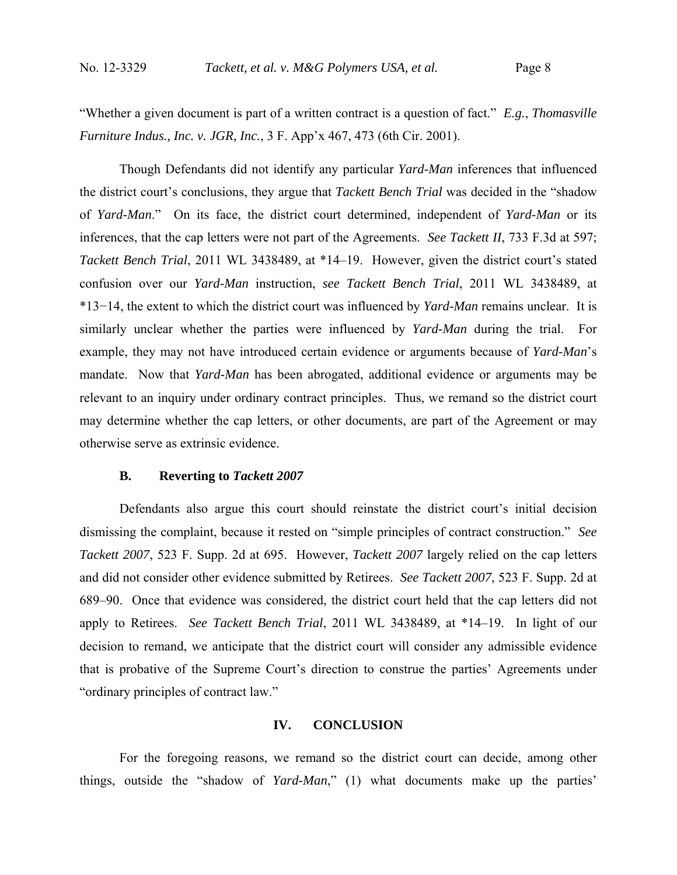"Whether a given document is part of a written contract is a question of fact." *E.g.*, *Thomasville Furniture Indus., Inc. v. JGR, Inc.*, 3 F. App'x 467, 473 (6th Cir. 2001).

Though Defendants did not identify any particular *Yard-Man* inferences that influenced the district court's conclusions, they argue that *Tackett Bench Trial* was decided in the "shadow of *Yard-Man*." On its face, the district court determined, independent of *Yard-Man* or its inferences, that the cap letters were not part of the Agreements. *See Tackett II*, 733 F.3d at 597; *Tackett Bench Trial*, 2011 WL 3438489, at \*14–19. However, given the district court's stated confusion over our *Yard-Man* instruction, *see Tackett Bench Trial*, 2011 WL 3438489, at \*13−14, the extent to which the district court was influenced by *Yard-Man* remains unclear. It is similarly unclear whether the parties were influenced by *Yard-Man* during the trial. For example, they may not have introduced certain evidence or arguments because of *Yard-Man*'s mandate. Now that *Yard-Man* has been abrogated, additional evidence or arguments may be relevant to an inquiry under ordinary contract principles. Thus, we remand so the district court may determine whether the cap letters, or other documents, are part of the Agreement or may otherwise serve as extrinsic evidence.

### **B. Reverting to** *Tackett 2007*

Defendants also argue this court should reinstate the district court's initial decision dismissing the complaint, because it rested on "simple principles of contract construction." *See Tackett 2007*, 523 F. Supp. 2d at 695. However, *Tackett 2007* largely relied on the cap letters and did not consider other evidence submitted by Retirees. *See Tackett 2007*, 523 F. Supp. 2d at 689–90. Once that evidence was considered, the district court held that the cap letters did not apply to Retirees. *See Tackett Bench Trial*, 2011 WL 3438489, at \*14–19. In light of our decision to remand, we anticipate that the district court will consider any admissible evidence that is probative of the Supreme Court's direction to construe the parties' Agreements under "ordinary principles of contract law."

# **IV. CONCLUSION**

For the foregoing reasons, we remand so the district court can decide, among other things, outside the "shadow of *Yard-Man*," (1) what documents make up the parties'